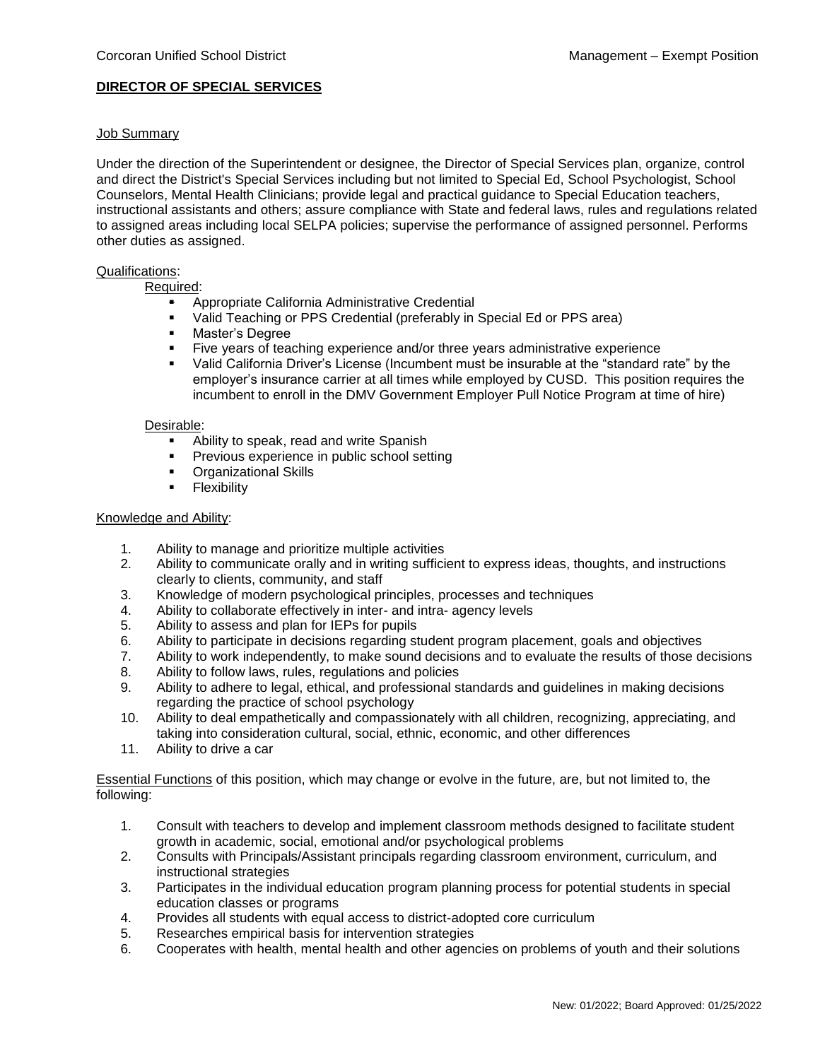# **DIRECTOR OF SPECIAL SERVICES**

## Job Summary

Under the direction of the Superintendent or designee, the Director of Special Services plan, organize, control and direct the District's Special Services including but not limited to Special Ed, School Psychologist, School Counselors, Mental Health Clinicians; provide legal and practical guidance to Special Education teachers, instructional assistants and others; assure compliance with State and federal laws, rules and regulations related to assigned areas including local SELPA policies; supervise the performance of assigned personnel. Performs other duties as assigned.

## Qualifications:

Required:

- **•** Appropriate California Administrative Credential<br>• Valid Teaching or PPS Credential (preferably in
- Valid Teaching or PPS Credential (preferably in Special Ed or PPS area)
- **■** Master's Degree<br>■ Five vears of tear
- Five years of teaching experience and/or three years administrative experience
- Valid California Driver's License (Incumbent must be insurable at the "standard rate" by the employer's insurance carrier at all times while employed by CUSD. This position requires the incumbent to enroll in the DMV Government Employer Pull Notice Program at time of hire)

#### Desirable:

- Ability to speak, read and write Spanish
- **•** Previous experience in public school setting
- **•** Organizational Skills<br>• Flexibility
- **Flexibility**

## Knowledge and Ability:

- 1. Ability to manage and prioritize multiple activities
- 2. Ability to communicate orally and in writing sufficient to express ideas, thoughts, and instructions clearly to clients, community, and staff
- 3. Knowledge of modern psychological principles, processes and techniques
- 4. Ability to collaborate effectively in inter- and intra- agency levels
- 5. Ability to assess and plan for IEPs for pupils
- 6. Ability to participate in decisions regarding student program placement, goals and objectives
- 7. Ability to work independently, to make sound decisions and to evaluate the results of those decisions
- 8. Ability to follow laws, rules, regulations and policies
- 9. Ability to adhere to legal, ethical, and professional standards and guidelines in making decisions regarding the practice of school psychology
- 10. Ability to deal empathetically and compassionately with all children, recognizing, appreciating, and taking into consideration cultural, social, ethnic, economic, and other differences
- 11. Ability to drive a car

Essential Functions of this position, which may change or evolve in the future, are, but not limited to, the following:

- 1. Consult with teachers to develop and implement classroom methods designed to facilitate student growth in academic, social, emotional and/or psychological problems
- 2. Consults with Principals/Assistant principals regarding classroom environment, curriculum, and instructional strategies
- 3. Participates in the individual education program planning process for potential students in special education classes or programs
- 4. Provides all students with equal access to district-adopted core curriculum
- 5. Researches empirical basis for intervention strategies
- 6. Cooperates with health, mental health and other agencies on problems of youth and their solutions